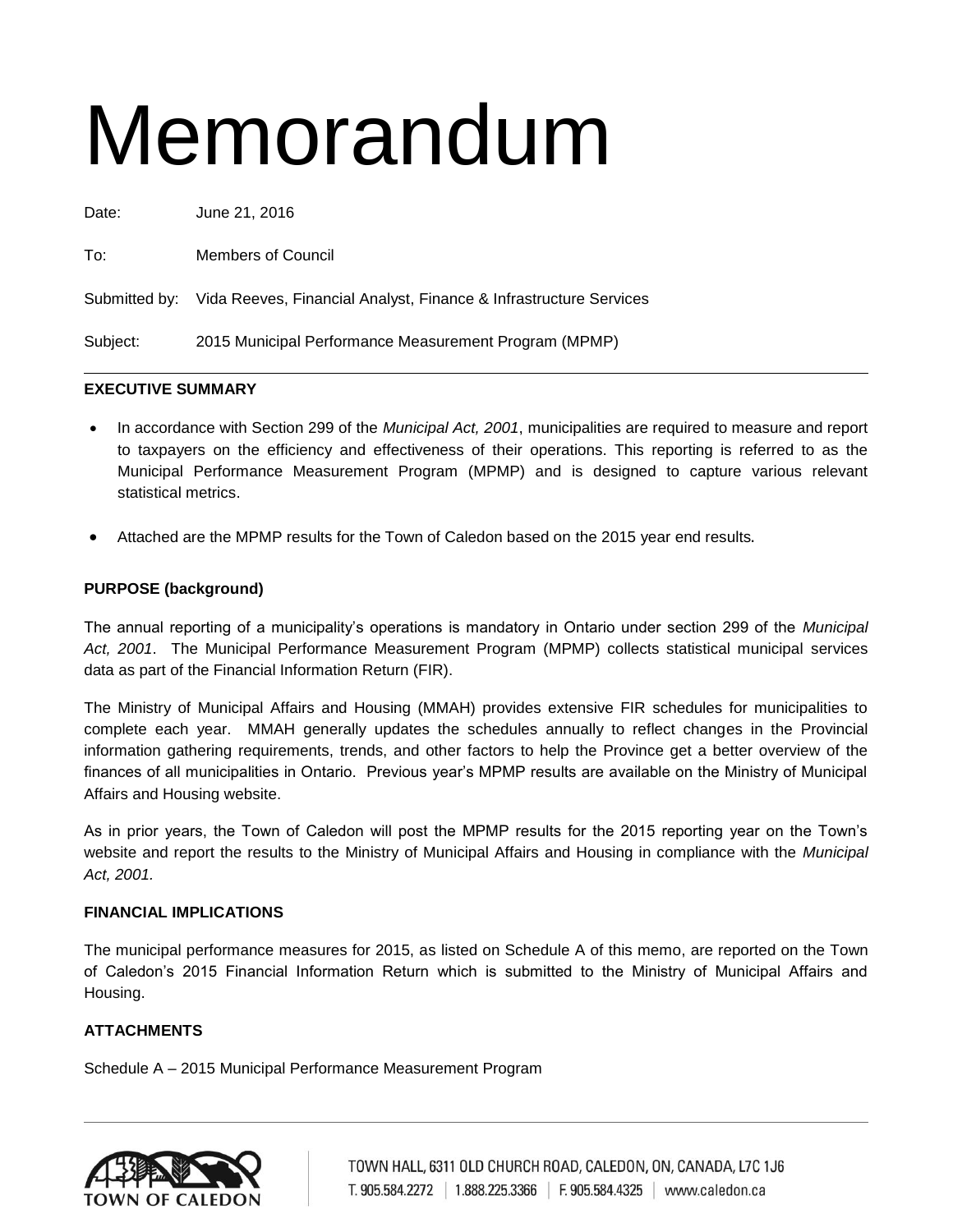# Memorandum

Date: June 21, 2016 To: Members of Council Submitted by: Vida Reeves, Financial Analyst, Finance & Infrastructure Services Subject: 2015 Municipal Performance Measurement Program (MPMP)

# **EXECUTIVE SUMMARY**

- In accordance with Section 299 of the *Municipal Act, 2001*, municipalities are required to measure and report to taxpayers on the efficiency and effectiveness of their operations. This reporting is referred to as the Municipal Performance Measurement Program (MPMP) and is designed to capture various relevant statistical metrics.
- Attached are the MPMP results for the Town of Caledon based on the 2015 year end results.

## **PURPOSE (background)**

The annual reporting of a municipality's operations is mandatory in Ontario under section 299 of the *Municipal Act, 2001*. The Municipal Performance Measurement Program (MPMP) collects statistical municipal services data as part of the Financial Information Return (FIR).

The Ministry of Municipal Affairs and Housing (MMAH) provides extensive FIR schedules for municipalities to complete each year. MMAH generally updates the schedules annually to reflect changes in the Provincial information gathering requirements, trends, and other factors to help the Province get a better overview of the finances of all municipalities in Ontario. Previous year's MPMP results are available on the Ministry of Municipal Affairs and Housing website.

As in prior years, the Town of Caledon will post the MPMP results for the 2015 reporting year on the Town's website and report the results to the Ministry of Municipal Affairs and Housing in compliance with the *Municipal Act, 2001.*

### **FINANCIAL IMPLICATIONS**

The municipal performance measures for 2015, as listed on Schedule A of this memo, are reported on the Town of Caledon's 2015 Financial Information Return which is submitted to the Ministry of Municipal Affairs and Housing.

### **ATTACHMENTS**

Schedule A – 2015 Municipal Performance Measurement Program

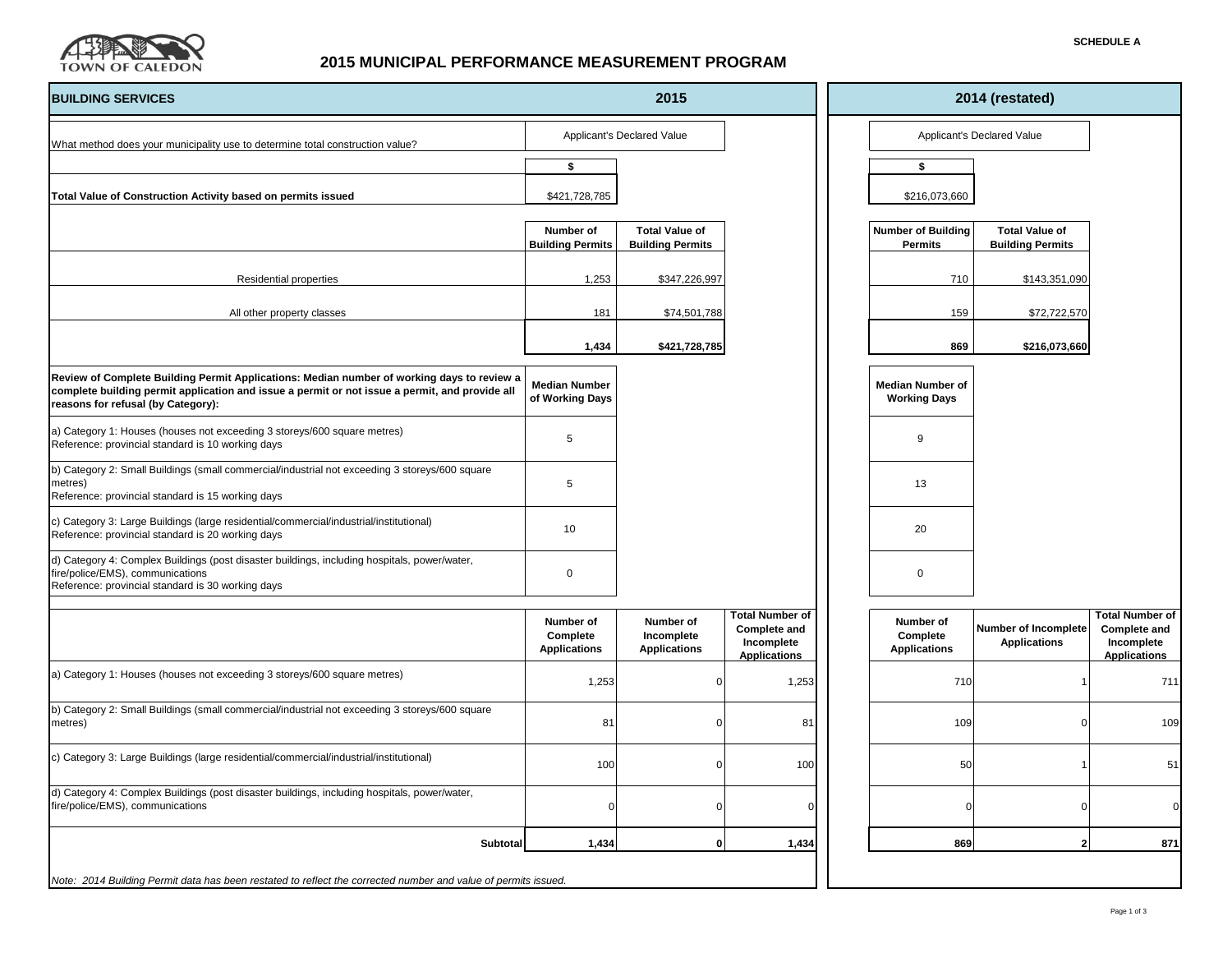

# **2015 MUNICIPAL PERFORMANCE MEASUREMENT PROGRAM**

| <b>BUILDING SERVICES</b>                                                                                                                                                                                                           | 2015                                         |                                                  |                                                                                    | 2014 (restated)                                |                            |                                                  |                                                                                    |  |  |
|------------------------------------------------------------------------------------------------------------------------------------------------------------------------------------------------------------------------------------|----------------------------------------------|--------------------------------------------------|------------------------------------------------------------------------------------|------------------------------------------------|----------------------------|--------------------------------------------------|------------------------------------------------------------------------------------|--|--|
| What method does your municipality use to determine total construction value?                                                                                                                                                      | Applicant's Declared Value                   |                                                  |                                                                                    |                                                | Applicant's Declared Value |                                                  |                                                                                    |  |  |
|                                                                                                                                                                                                                                    | \$                                           |                                                  |                                                                                    | \$                                             |                            |                                                  |                                                                                    |  |  |
| Total Value of Construction Activity based on permits issued                                                                                                                                                                       | \$421,728,785                                |                                                  |                                                                                    | \$216,073,660                                  |                            |                                                  |                                                                                    |  |  |
|                                                                                                                                                                                                                                    | Number of<br><b>Building Permits</b>         | <b>Total Value of</b><br><b>Building Permits</b> |                                                                                    | <b>Number of Building</b><br><b>Permits</b>    |                            | <b>Total Value of</b><br><b>Building Permits</b> |                                                                                    |  |  |
| <b>Residential properties</b>                                                                                                                                                                                                      | 1,253                                        | \$347,226,997                                    |                                                                                    |                                                | 710                        | \$143,351,090                                    |                                                                                    |  |  |
| All other property classes                                                                                                                                                                                                         | 181                                          | \$74,501,788                                     |                                                                                    |                                                | 159                        | \$72,722,570                                     |                                                                                    |  |  |
|                                                                                                                                                                                                                                    | 1,434                                        | \$421,728,785                                    |                                                                                    |                                                | 869                        | \$216,073,660                                    |                                                                                    |  |  |
| Review of Complete Building Permit Applications: Median number of working days to review a<br>complete building permit application and issue a permit or not issue a permit, and provide all<br>reasons for refusal (by Category): | <b>Median Number</b><br>of Working Days      |                                                  |                                                                                    | <b>Median Number of</b><br><b>Working Days</b> |                            |                                                  |                                                                                    |  |  |
| a) Category 1: Houses (houses not exceeding 3 storeys/600 square metres)<br>Reference: provincial standard is 10 working days                                                                                                      | 5                                            |                                                  |                                                                                    | 9                                              |                            |                                                  |                                                                                    |  |  |
| b) Category 2: Small Buildings (small commercial/industrial not exceeding 3 storeys/600 square<br>metres)<br>Reference: provincial standard is 15 working days                                                                     | 5                                            |                                                  |                                                                                    | 13                                             |                            |                                                  |                                                                                    |  |  |
| c) Category 3: Large Buildings (large residential/commercial/industrial/institutional)<br>Reference: provincial standard is 20 working days                                                                                        | 10                                           |                                                  |                                                                                    | 20                                             |                            |                                                  |                                                                                    |  |  |
| d) Category 4: Complex Buildings (post disaster buildings, including hospitals, power/water,<br>fire/police/EMS), communications<br>Reference: provincial standard is 30 working days                                              | 0                                            |                                                  |                                                                                    | $\pmb{0}$                                      |                            |                                                  |                                                                                    |  |  |
|                                                                                                                                                                                                                                    | Number of<br>Complete<br><b>Applications</b> | Number of<br>Incomplete<br><b>Applications</b>   | <b>Total Number of</b><br><b>Complete and</b><br>Incomplete<br><b>Applications</b> | Number of<br>Complete<br><b>Applications</b>   |                            | Number of Incomplete<br><b>Applications</b>      | <b>Total Number of</b><br><b>Complete and</b><br>Incomplete<br><b>Applications</b> |  |  |
| a) Category 1: Houses (houses not exceeding 3 storeys/600 square metres)                                                                                                                                                           | 1,253                                        | $\Omega$                                         | 1,253                                                                              |                                                | 710                        |                                                  | 711                                                                                |  |  |
| b) Category 2: Small Buildings (small commercial/industrial not exceeding 3 storeys/600 square<br>metres)                                                                                                                          | 81                                           | $\Omega$                                         | 81                                                                                 |                                                | 109                        |                                                  | 109                                                                                |  |  |
| c) Category 3: Large Buildings (large residential/commercial/industrial/institutional)                                                                                                                                             | 100                                          | $\Omega$                                         | 100                                                                                |                                                | 50                         |                                                  | 51                                                                                 |  |  |
| d) Category 4: Complex Buildings (post disaster buildings, including hospitals, power/water,<br>fire/police/EMS), communications                                                                                                   |                                              |                                                  |                                                                                    |                                                | $\Omega$                   |                                                  | $\Omega$                                                                           |  |  |
| Subtotal                                                                                                                                                                                                                           | 1,434                                        | $\mathbf{0}$                                     | 1,434                                                                              |                                                | 869                        | $\mathbf{c}$                                     | 871                                                                                |  |  |
| Note: 2014 Building Permit data has been restated to reflect the corrected number and value of permits issued.                                                                                                                     |                                              |                                                  |                                                                                    |                                                |                            |                                                  |                                                                                    |  |  |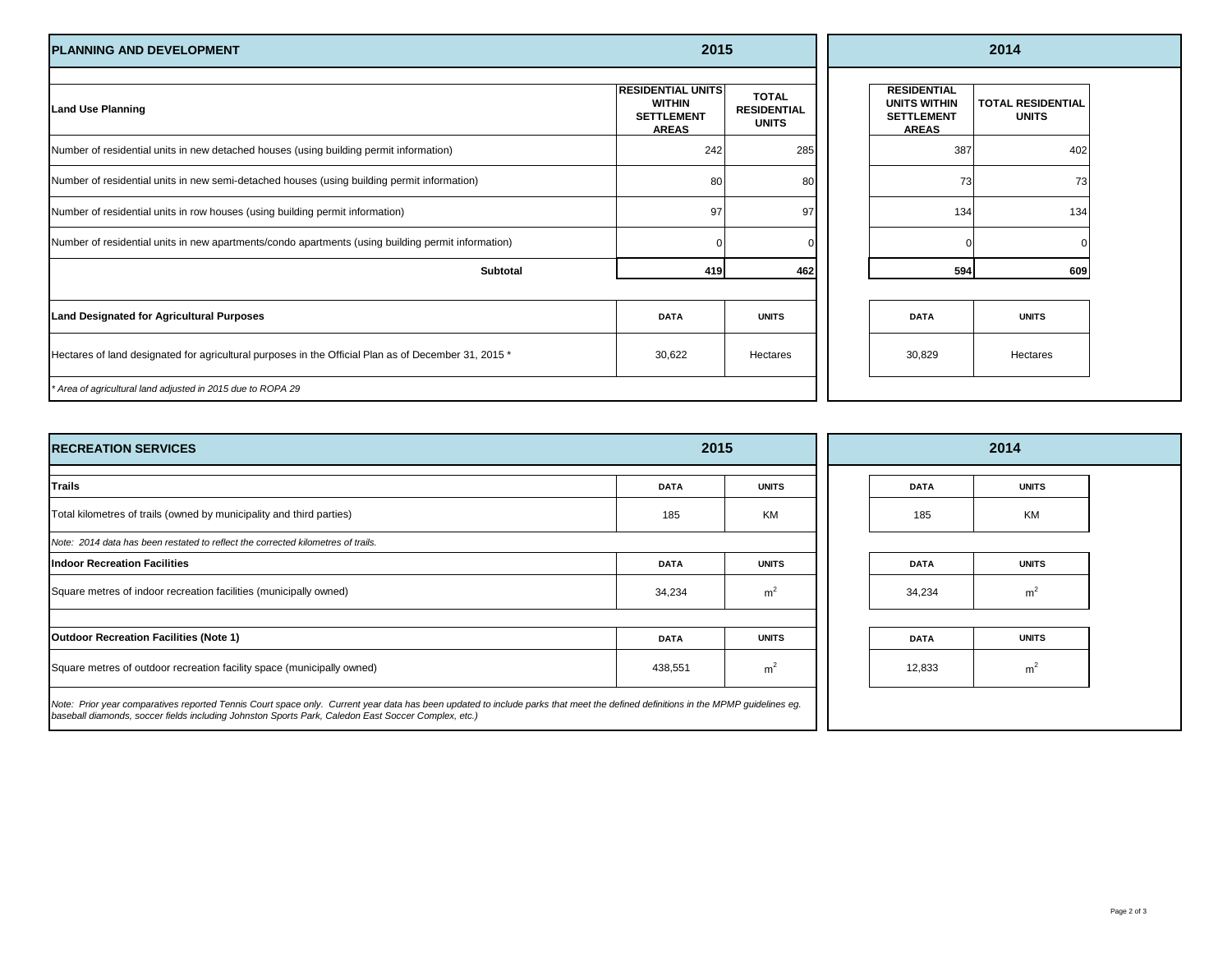| <b>PLANNING AND DEVELOPMENT</b>                                                                      | 2015                                                                           |                                                    | 2014                                                                           |                                          |  |  |
|------------------------------------------------------------------------------------------------------|--------------------------------------------------------------------------------|----------------------------------------------------|--------------------------------------------------------------------------------|------------------------------------------|--|--|
| <b>Land Use Planning</b>                                                                             | <b>RESIDENTIAL UNITS</b><br><b>WITHIN</b><br><b>SETTLEMENT</b><br><b>AREAS</b> | <b>TOTAL</b><br><b>RESIDENTIAL</b><br><b>UNITS</b> | <b>RESIDENTIAL</b><br><b>UNITS WITHIN</b><br><b>SETTLEMENT</b><br><b>AREAS</b> | <b>TOTAL RESIDENTIAL</b><br><b>UNITS</b> |  |  |
| Number of residential units in new detached houses (using building permit information)               | 242                                                                            | 285                                                | 387                                                                            | 402                                      |  |  |
| Number of residential units in new semi-detached houses (using building permit information)          | 80                                                                             | 80                                                 | 73                                                                             | 73                                       |  |  |
| Number of residential units in row houses (using building permit information)                        | 97                                                                             | 97                                                 | 134                                                                            | 134                                      |  |  |
| Number of residential units in new apartments/condo apartments (using building permit information)   |                                                                                |                                                    |                                                                                |                                          |  |  |
| <b>Subtotal</b>                                                                                      | 419                                                                            | 462                                                | 594                                                                            | 609                                      |  |  |
|                                                                                                      | <b>DATA</b>                                                                    | <b>UNITS</b>                                       | <b>DATA</b>                                                                    | <b>UNITS</b>                             |  |  |
| Land Designated for Agricultural Purposes                                                            |                                                                                |                                                    |                                                                                |                                          |  |  |
| Hectares of land designated for agricultural purposes in the Official Plan as of December 31, 2015 * | 30,622                                                                         | Hectares                                           | 30,829                                                                         | Hectares                                 |  |  |
| * Area of agricultural land adjusted in 2015 due to ROPA 29                                          |                                                                                |                                                    |                                                                                |                                          |  |  |

| <b>IRECREATION SERVICES</b>                                                                                                                                                                                                                                                             | 2015        |                |  | 2014        |                |  |  |
|-----------------------------------------------------------------------------------------------------------------------------------------------------------------------------------------------------------------------------------------------------------------------------------------|-------------|----------------|--|-------------|----------------|--|--|
| Trails                                                                                                                                                                                                                                                                                  | <b>DATA</b> | <b>UNITS</b>   |  | <b>DATA</b> | <b>UNITS</b>   |  |  |
| Total kilometres of trails (owned by municipality and third parties)                                                                                                                                                                                                                    | 185         | <b>KM</b>      |  | 185         | <b>KM</b>      |  |  |
| Note: 2014 data has been restated to reflect the corrected kilometres of trails.                                                                                                                                                                                                        |             |                |  |             |                |  |  |
| <b>Indoor Recreation Facilities</b>                                                                                                                                                                                                                                                     | <b>DATA</b> | <b>UNITS</b>   |  | <b>DATA</b> | <b>UNITS</b>   |  |  |
| Square metres of indoor recreation facilities (municipally owned)                                                                                                                                                                                                                       | 34,234      | m <sup>2</sup> |  | 34,234      | m <sup>2</sup> |  |  |
| <b>Outdoor Recreation Facilities (Note 1)</b>                                                                                                                                                                                                                                           | <b>DATA</b> | <b>UNITS</b>   |  | <b>DATA</b> | <b>UNITS</b>   |  |  |
| Square metres of outdoor recreation facility space (municipally owned)                                                                                                                                                                                                                  | 438,551     | m <sup>2</sup> |  | 12,833      | m <sup>2</sup> |  |  |
| Note: Prior year comparatives reported Tennis Court space only. Current year data has been updated to include parks that meet the defined definitions in the MPMP quidelines eq.<br>baseball diamonds, soccer fields including Johnston Sports Park, Caledon East Soccer Complex, etc.) |             |                |  |             |                |  |  |